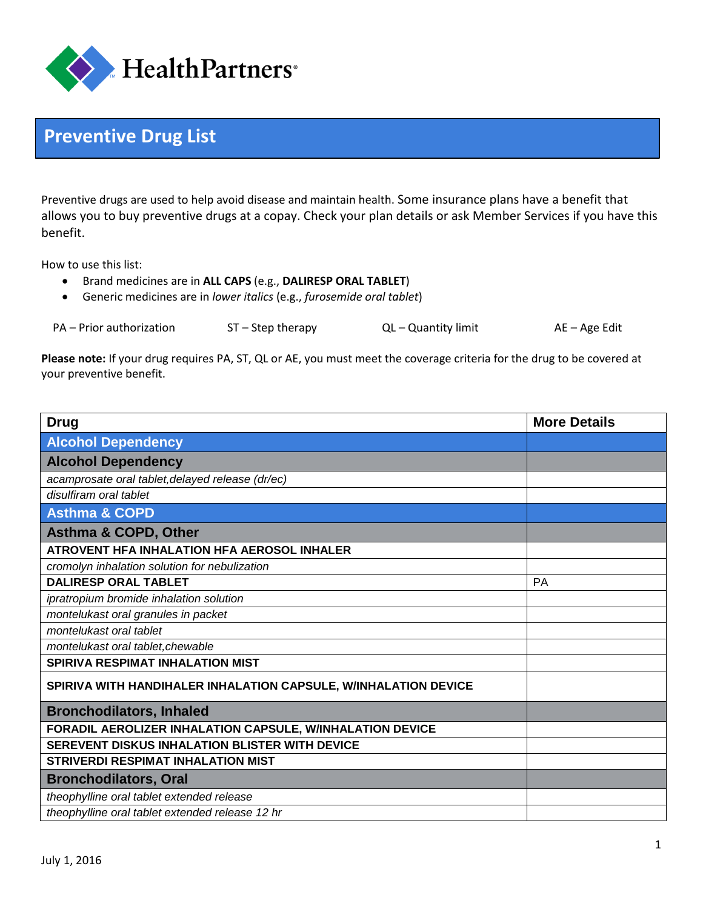

## **Preventive Drug List**

Preventive drugs are used to help avoid disease and maintain health. Some insurance plans have a benefit that allows you to buy preventive drugs at a copay. Check your plan details or ask Member Services if you have this benefit.

How to use this list:

- Brand medicines are in **ALL CAPS** (e.g., **DALIRESP ORAL TABLET**)
- Generic medicines are in *lower italics* (e.g., *furosemide oral tablet*)

| PA – Prior authorization |                     |                     |               |
|--------------------------|---------------------|---------------------|---------------|
|                          | $ST - Step$ therapy | QL - Quantity limit | AE – Age Edit |

**Please note:** If your drug requires PA, ST, QL or AE, you must meet the coverage criteria for the drug to be covered at your preventive benefit.

| <b>Drug</b>                                                     | <b>More Details</b> |
|-----------------------------------------------------------------|---------------------|
| <b>Alcohol Dependency</b>                                       |                     |
| <b>Alcohol Dependency</b>                                       |                     |
| acamprosate oral tablet, delayed release (dr/ec)                |                     |
| disulfiram oral tablet                                          |                     |
| <b>Asthma &amp; COPD</b>                                        |                     |
| <b>Asthma &amp; COPD, Other</b>                                 |                     |
| ATROVENT HFA INHALATION HFA AEROSOL INHALER                     |                     |
| cromolyn inhalation solution for nebulization                   |                     |
| <b>DALIRESP ORAL TABLET</b>                                     | PA                  |
| ipratropium bromide inhalation solution                         |                     |
| montelukast oral granules in packet                             |                     |
| montelukast oral tablet                                         |                     |
| montelukast oral tablet, chewable                               |                     |
| <b>SPIRIVA RESPIMAT INHALATION MIST</b>                         |                     |
| SPIRIVA WITH HANDIHALER INHALATION CAPSULE, W/INHALATION DEVICE |                     |
| <b>Bronchodilators, Inhaled</b>                                 |                     |
| FORADIL AEROLIZER INHALATION CAPSULE, W/INHALATION DEVICE       |                     |
| <b>SEREVENT DISKUS INHALATION BLISTER WITH DEVICE</b>           |                     |
| <b>STRIVERDI RESPIMAT INHALATION MIST</b>                       |                     |
| <b>Bronchodilators, Oral</b>                                    |                     |
| theophylline oral tablet extended release                       |                     |
| theophylline oral tablet extended release 12 hr                 |                     |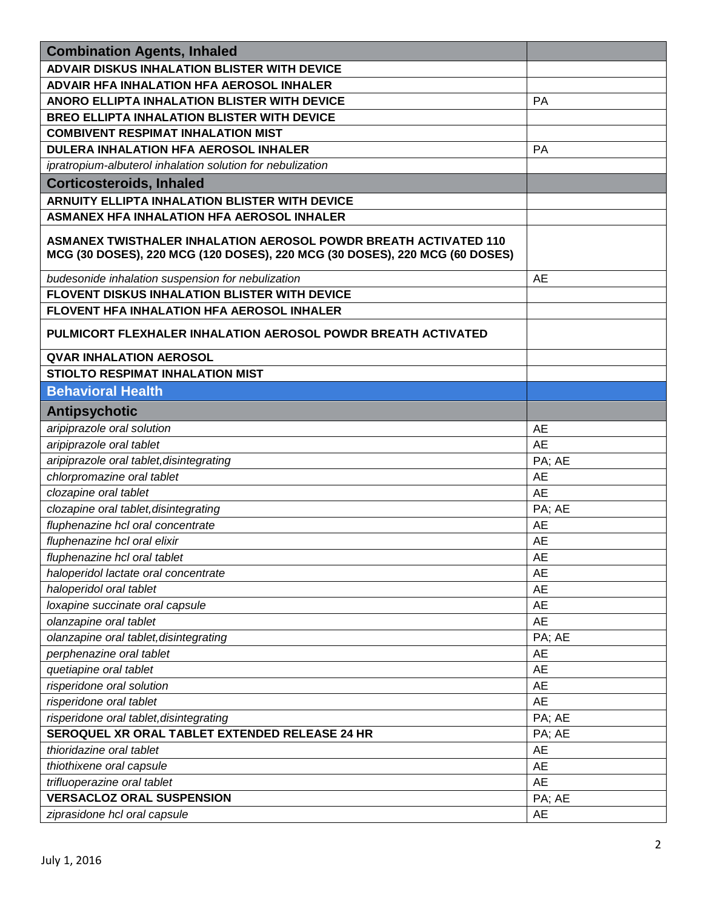| <b>Combination Agents, Inhaled</b>                                                                                                              |           |
|-------------------------------------------------------------------------------------------------------------------------------------------------|-----------|
| <b>ADVAIR DISKUS INHALATION BLISTER WITH DEVICE</b>                                                                                             |           |
| <b>ADVAIR HFA INHALATION HFA AEROSOL INHALER</b>                                                                                                |           |
| ANORO ELLIPTA INHALATION BLISTER WITH DEVICE                                                                                                    | <b>PA</b> |
| <b>BREO ELLIPTA INHALATION BLISTER WITH DEVICE</b>                                                                                              |           |
| <b>COMBIVENT RESPIMAT INHALATION MIST</b>                                                                                                       |           |
| <b>DULERA INHALATION HFA AEROSOL INHALER</b>                                                                                                    | <b>PA</b> |
| ipratropium-albuterol inhalation solution for nebulization                                                                                      |           |
| <b>Corticosteroids, Inhaled</b>                                                                                                                 |           |
| ARNUITY ELLIPTA INHALATION BLISTER WITH DEVICE                                                                                                  |           |
| <b>ASMANEX HFA INHALATION HFA AEROSOL INHALER</b>                                                                                               |           |
| ASMANEX TWISTHALER INHALATION AEROSOL POWDR BREATH ACTIVATED 110<br>MCG (30 DOSES), 220 MCG (120 DOSES), 220 MCG (30 DOSES), 220 MCG (60 DOSES) |           |
| budesonide inhalation suspension for nebulization                                                                                               | <b>AE</b> |
| FLOVENT DISKUS INHALATION BLISTER WITH DEVICE                                                                                                   |           |
| <b>FLOVENT HFA INHALATION HFA AEROSOL INHALER</b>                                                                                               |           |
| PULMICORT FLEXHALER INHALATION AEROSOL POWDR BREATH ACTIVATED                                                                                   |           |
| <b>QVAR INHALATION AEROSOL</b>                                                                                                                  |           |
| <b>STIOLTO RESPIMAT INHALATION MIST</b>                                                                                                         |           |
| <b>Behavioral Health</b>                                                                                                                        |           |
| <b>Antipsychotic</b>                                                                                                                            |           |
| aripiprazole oral solution                                                                                                                      | AE        |
| aripiprazole oral tablet                                                                                                                        | <b>AE</b> |
| aripiprazole oral tablet, disintegrating                                                                                                        | PA; AE    |
| chlorpromazine oral tablet                                                                                                                      | AE        |
| clozapine oral tablet                                                                                                                           | <b>AE</b> |
| clozapine oral tablet, disintegrating                                                                                                           | PA; AE    |
| fluphenazine hcl oral concentrate                                                                                                               | <b>AE</b> |
| fluphenazine hcl oral elixir                                                                                                                    | AE        |
| fluphenazine hcl oral tablet                                                                                                                    | AE        |
| haloperidol lactate oral concentrate                                                                                                            | AE        |
| haloperidol oral tablet                                                                                                                         | <b>AE</b> |
| loxapine succinate oral capsule                                                                                                                 | <b>AE</b> |
| olanzapine oral tablet                                                                                                                          | <b>AE</b> |
| olanzapine oral tablet, disintegrating                                                                                                          | PA; AE    |
| perphenazine oral tablet                                                                                                                        | <b>AE</b> |
| quetiapine oral tablet                                                                                                                          | AE        |
| risperidone oral solution                                                                                                                       | <b>AE</b> |
| risperidone oral tablet                                                                                                                         | <b>AE</b> |
| risperidone oral tablet, disintegrating                                                                                                         | PA; AE    |
| SEROQUEL XR ORAL TABLET EXTENDED RELEASE 24 HR                                                                                                  | PA; AE    |
| thioridazine oral tablet                                                                                                                        | <b>AE</b> |
| thiothixene oral capsule                                                                                                                        | AE        |
| trifluoperazine oral tablet                                                                                                                     | <b>AE</b> |
| <b>VERSACLOZ ORAL SUSPENSION</b>                                                                                                                | PA; AE    |
| ziprasidone hcl oral capsule                                                                                                                    | <b>AE</b> |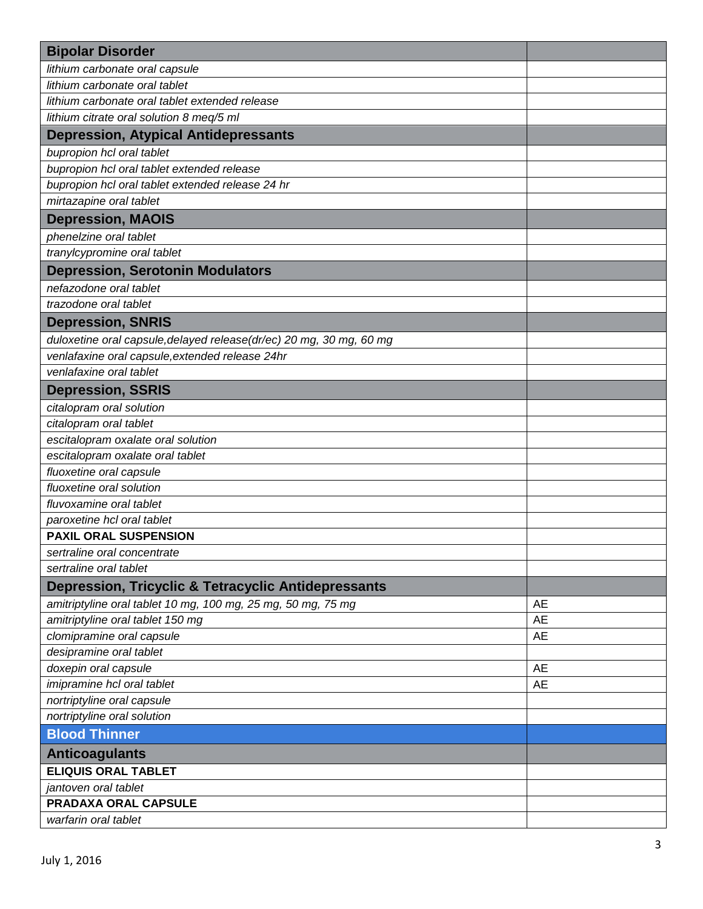| <b>Bipolar Disorder</b>                                             |           |
|---------------------------------------------------------------------|-----------|
| lithium carbonate oral capsule                                      |           |
| lithium carbonate oral tablet                                       |           |
| lithium carbonate oral tablet extended release                      |           |
| lithium citrate oral solution 8 meq/5 ml                            |           |
| <b>Depression, Atypical Antidepressants</b>                         |           |
| bupropion hcl oral tablet                                           |           |
| bupropion hcl oral tablet extended release                          |           |
| bupropion hcl oral tablet extended release 24 hr                    |           |
| mirtazapine oral tablet                                             |           |
| <b>Depression, MAOIS</b>                                            |           |
| phenelzine oral tablet                                              |           |
| tranylcypromine oral tablet                                         |           |
| <b>Depression, Serotonin Modulators</b>                             |           |
| nefazodone oral tablet                                              |           |
| trazodone oral tablet                                               |           |
| <b>Depression, SNRIS</b>                                            |           |
| duloxetine oral capsule, delayed release(dr/ec) 20 mg, 30 mg, 60 mg |           |
| venlafaxine oral capsule, extended release 24hr                     |           |
| venlafaxine oral tablet                                             |           |
| <b>Depression, SSRIS</b>                                            |           |
| citalopram oral solution                                            |           |
| citalopram oral tablet                                              |           |
| escitalopram oxalate oral solution                                  |           |
| escitalopram oxalate oral tablet                                    |           |
| fluoxetine oral capsule                                             |           |
| fluoxetine oral solution                                            |           |
| fluvoxamine oral tablet                                             |           |
| paroxetine hcl oral tablet                                          |           |
| <b>PAXIL ORAL SUSPENSION</b>                                        |           |
| sertraline oral concentrate                                         |           |
| sertraline oral tablet                                              |           |
| <b>Depression, Tricyclic &amp; Tetracyclic Antidepressants</b>      |           |
| amitriptyline oral tablet 10 mg, 100 mg, 25 mg, 50 mg, 75 mg        | <b>AE</b> |
| amitriptyline oral tablet 150 mg                                    | <b>AE</b> |
| clomipramine oral capsule                                           | <b>AE</b> |
| desipramine oral tablet                                             |           |
| doxepin oral capsule                                                | <b>AE</b> |
| imipramine hcl oral tablet                                          | <b>AE</b> |
| nortriptyline oral capsule                                          |           |
| nortriptyline oral solution                                         |           |
| <b>Blood Thinner</b>                                                |           |
| <b>Anticoagulants</b>                                               |           |
| <b>ELIQUIS ORAL TABLET</b>                                          |           |
| jantoven oral tablet                                                |           |
| PRADAXA ORAL CAPSULE                                                |           |
| warfarin oral tablet                                                |           |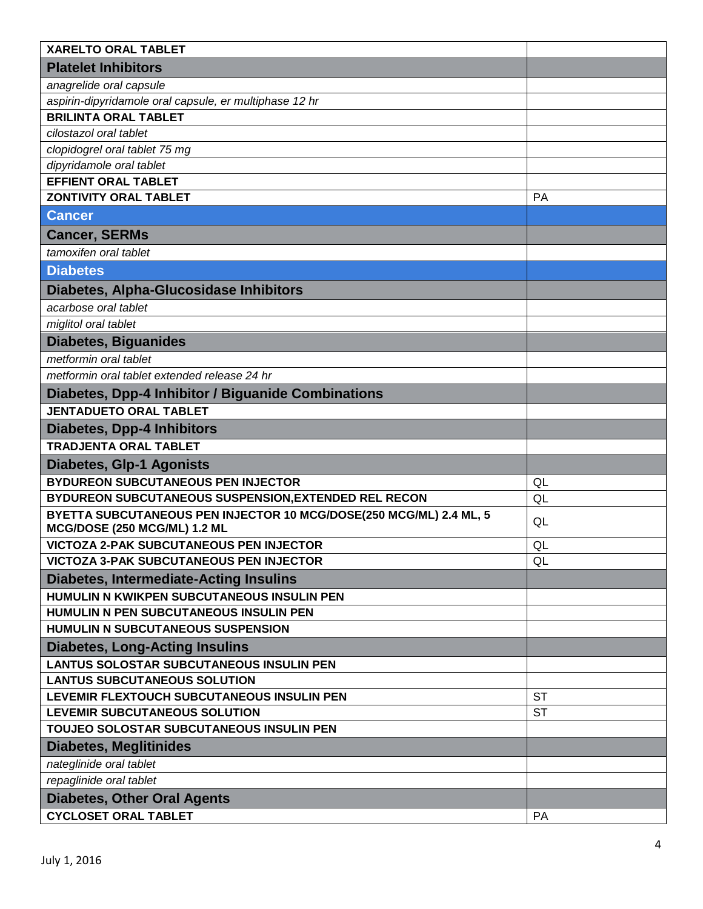| <b>XARELTO ORAL TABLET</b>                                                                         |           |
|----------------------------------------------------------------------------------------------------|-----------|
| <b>Platelet Inhibitors</b>                                                                         |           |
| anagrelide oral capsule                                                                            |           |
| aspirin-dipyridamole oral capsule, er multiphase 12 hr                                             |           |
| <b>BRILINTA ORAL TABLET</b>                                                                        |           |
| cilostazol oral tablet                                                                             |           |
| clopidogrel oral tablet 75 mg                                                                      |           |
| dipyridamole oral tablet                                                                           |           |
| <b>EFFIENT ORAL TABLET</b>                                                                         |           |
| <b>ZONTIVITY ORAL TABLET</b>                                                                       | <b>PA</b> |
| <b>Cancer</b>                                                                                      |           |
| <b>Cancer, SERMs</b>                                                                               |           |
| tamoxifen oral tablet                                                                              |           |
| <b>Diabetes</b>                                                                                    |           |
| Diabetes, Alpha-Glucosidase Inhibitors                                                             |           |
| acarbose oral tablet                                                                               |           |
| miglitol oral tablet                                                                               |           |
| <b>Diabetes, Biguanides</b>                                                                        |           |
| metformin oral tablet                                                                              |           |
| metformin oral tablet extended release 24 hr                                                       |           |
| Diabetes, Dpp-4 Inhibitor / Biguanide Combinations                                                 |           |
| <b>JENTADUETO ORAL TABLET</b>                                                                      |           |
| <b>Diabetes, Dpp-4 Inhibitors</b>                                                                  |           |
| <b>TRADJENTA ORAL TABLET</b>                                                                       |           |
| <b>Diabetes, Glp-1 Agonists</b>                                                                    |           |
| <b>BYDUREON SUBCUTANEOUS PEN INJECTOR</b>                                                          | QL        |
| BYDUREON SUBCUTANEOUS SUSPENSION, EXTENDED REL RECON                                               | QL        |
| BYETTA SUBCUTANEOUS PEN INJECTOR 10 MCG/DOSE(250 MCG/ML) 2.4 ML, 5<br>MCG/DOSE (250 MCG/ML) 1.2 ML | QL        |
| <b>VICTOZA 2-PAK SUBCUTANEOUS PEN INJECTOR</b>                                                     | QL        |
| <b>VICTOZA 3-PAK SUBCUTANEOUS PEN INJECTOR</b>                                                     | QL        |
| <b>Diabetes, Intermediate-Acting Insulins</b>                                                      |           |
| HUMULIN N KWIKPEN SUBCUTANEOUS INSULIN PEN                                                         |           |
| HUMULIN N PEN SUBCUTANEOUS INSULIN PEN                                                             |           |
| HUMULIN N SUBCUTANEOUS SUSPENSION                                                                  |           |
| <b>Diabetes, Long-Acting Insulins</b>                                                              |           |
| <b>LANTUS SOLOSTAR SUBCUTANEOUS INSULIN PEN</b>                                                    |           |
| <b>LANTUS SUBCUTANEOUS SOLUTION</b>                                                                |           |
| LEVEMIR FLEXTOUCH SUBCUTANEOUS INSULIN PEN                                                         | <b>ST</b> |
| LEVEMIR SUBCUTANEOUS SOLUTION                                                                      | <b>ST</b> |
| TOUJEO SOLOSTAR SUBCUTANEOUS INSULIN PEN                                                           |           |
| <b>Diabetes, Meglitinides</b>                                                                      |           |
| nateglinide oral tablet                                                                            |           |
| repaglinide oral tablet                                                                            |           |
| <b>Diabetes, Other Oral Agents</b>                                                                 |           |
| <b>CYCLOSET ORAL TABLET</b>                                                                        | <b>PA</b> |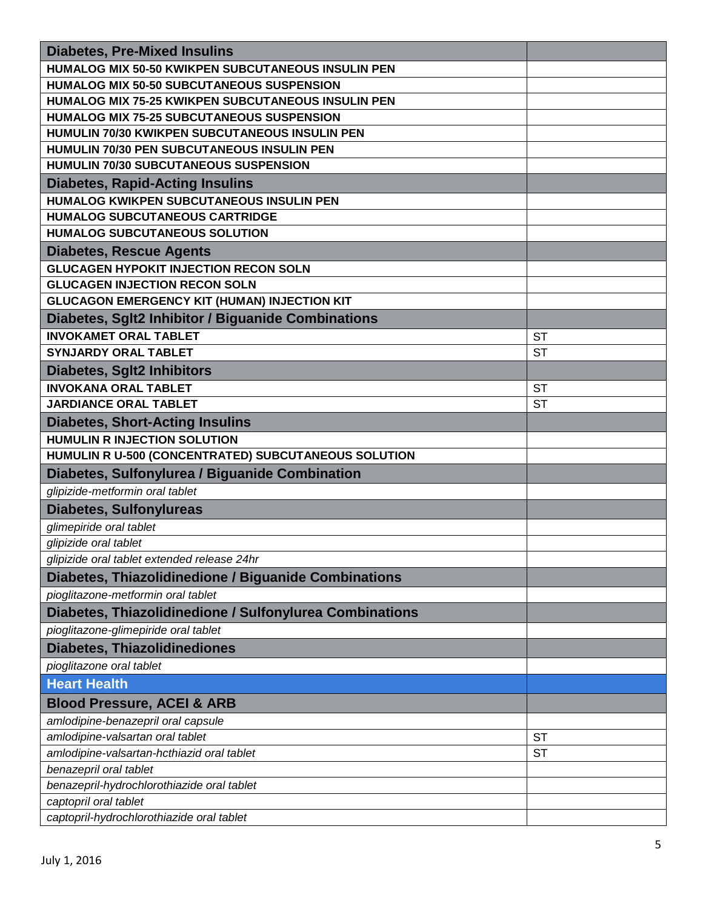| <b>Diabetes, Pre-Mixed Insulins</b>                     |           |
|---------------------------------------------------------|-----------|
| HUMALOG MIX 50-50 KWIKPEN SUBCUTANEOUS INSULIN PEN      |           |
| HUMALOG MIX 50-50 SUBCUTANEOUS SUSPENSION               |           |
| HUMALOG MIX 75-25 KWIKPEN SUBCUTANEOUS INSULIN PEN      |           |
| <b>HUMALOG MIX 75-25 SUBCUTANEOUS SUSPENSION</b>        |           |
| HUMULIN 70/30 KWIKPEN SUBCUTANEOUS INSULIN PEN          |           |
| HUMULIN 70/30 PEN SUBCUTANEOUS INSULIN PEN              |           |
| HUMULIN 70/30 SUBCUTANEOUS SUSPENSION                   |           |
| <b>Diabetes, Rapid-Acting Insulins</b>                  |           |
| HUMALOG KWIKPEN SUBCUTANEOUS INSULIN PEN                |           |
| <b>HUMALOG SUBCUTANEOUS CARTRIDGE</b>                   |           |
| <b>HUMALOG SUBCUTANEOUS SOLUTION</b>                    |           |
| <b>Diabetes, Rescue Agents</b>                          |           |
| <b>GLUCAGEN HYPOKIT INJECTION RECON SOLN</b>            |           |
| <b>GLUCAGEN INJECTION RECON SOLN</b>                    |           |
| GLUCAGON EMERGENCY KIT (HUMAN) INJECTION KIT            |           |
| Diabetes, Sglt2 Inhibitor / Biguanide Combinations      |           |
| <b>INVOKAMET ORAL TABLET</b>                            | <b>ST</b> |
| <b>SYNJARDY ORAL TABLET</b>                             | <b>ST</b> |
| <b>Diabetes, Sglt2 Inhibitors</b>                       |           |
| <b>INVOKANA ORAL TABLET</b>                             | <b>ST</b> |
| <b>JARDIANCE ORAL TABLET</b>                            | <b>ST</b> |
| <b>Diabetes, Short-Acting Insulins</b>                  |           |
| <b>HUMULIN R INJECTION SOLUTION</b>                     |           |
| HUMULIN R U-500 (CONCENTRATED) SUBCUTANEOUS SOLUTION    |           |
| Diabetes, Sulfonylurea / Biguanide Combination          |           |
| glipizide-metformin oral tablet                         |           |
| <b>Diabetes, Sulfonylureas</b>                          |           |
| glimepiride oral tablet                                 |           |
| glipizide oral tablet                                   |           |
| glipizide oral tablet extended release 24hr             |           |
| Diabetes, Thiazolidinedione / Biguanide Combinations    |           |
| pioglitazone-metformin oral tablet                      |           |
| Diabetes, Thiazolidinedione / Sulfonylurea Combinations |           |
| pioglitazone-glimepiride oral tablet                    |           |
| <b>Diabetes, Thiazolidinediones</b>                     |           |
| pioglitazone oral tablet                                |           |
| <b>Heart Health</b>                                     |           |
| <b>Blood Pressure, ACEI &amp; ARB</b>                   |           |
| amlodipine-benazepril oral capsule                      |           |
| amlodipine-valsartan oral tablet                        | <b>ST</b> |
| amlodipine-valsartan-hcthiazid oral tablet              | <b>ST</b> |
| benazepril oral tablet                                  |           |
| benazepril-hydrochlorothiazide oral tablet              |           |
| captopril oral tablet                                   |           |
| captopril-hydrochlorothiazide oral tablet               |           |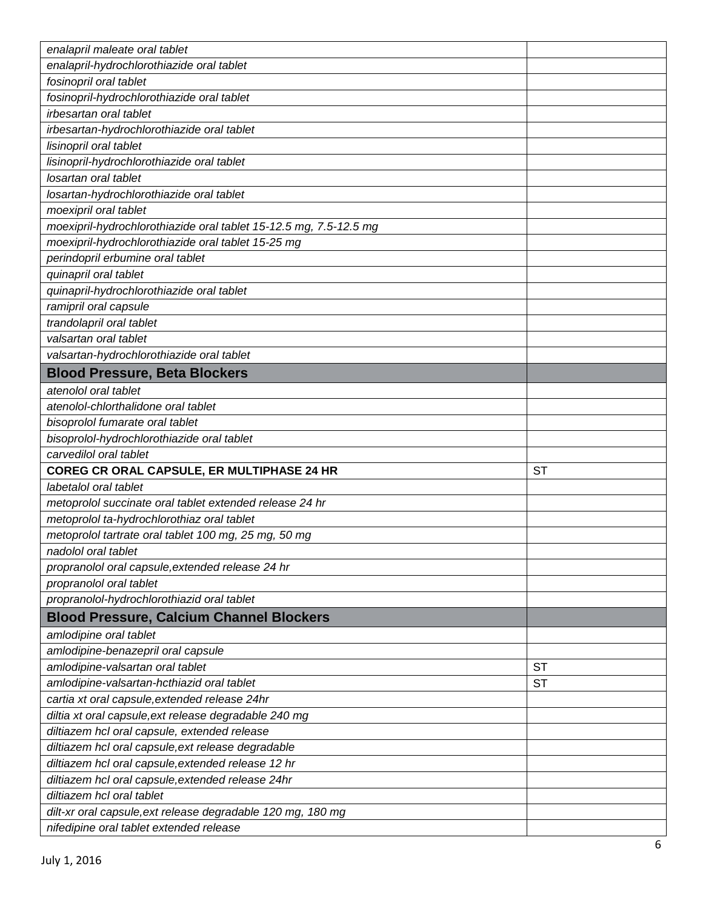| enalapril maleate oral tablet                                     |           |
|-------------------------------------------------------------------|-----------|
| enalapril-hydrochlorothiazide oral tablet                         |           |
| fosinopril oral tablet                                            |           |
| fosinopril-hydrochlorothiazide oral tablet                        |           |
| irbesartan oral tablet                                            |           |
| irbesartan-hydrochlorothiazide oral tablet                        |           |
| lisinopril oral tablet                                            |           |
| lisinopril-hydrochlorothiazide oral tablet                        |           |
| losartan oral tablet                                              |           |
| losartan-hydrochlorothiazide oral tablet                          |           |
| moexipril oral tablet                                             |           |
| moexipril-hydrochlorothiazide oral tablet 15-12.5 mg, 7.5-12.5 mg |           |
| moexipril-hydrochlorothiazide oral tablet 15-25 mg                |           |
| perindopril erbumine oral tablet                                  |           |
| quinapril oral tablet                                             |           |
| quinapril-hydrochlorothiazide oral tablet                         |           |
| ramipril oral capsule                                             |           |
| trandolapril oral tablet                                          |           |
| valsartan oral tablet                                             |           |
| valsartan-hydrochlorothiazide oral tablet                         |           |
| <b>Blood Pressure, Beta Blockers</b>                              |           |
| atenolol oral tablet                                              |           |
| atenolol-chlorthalidone oral tablet                               |           |
| bisoprolol fumarate oral tablet                                   |           |
| bisoprolol-hydrochlorothiazide oral tablet                        |           |
| carvedilol oral tablet                                            |           |
| COREG CR ORAL CAPSULE, ER MULTIPHASE 24 HR                        | <b>ST</b> |
| labetalol oral tablet                                             |           |
| metoprolol succinate oral tablet extended release 24 hr           |           |
| metoprolol ta-hydrochlorothiaz oral tablet                        |           |
| metoprolol tartrate oral tablet 100 mg, 25 mg, 50 mg              |           |
| nadolol oral tablet                                               |           |
| propranolol oral capsule, extended release 24 hr                  |           |
| propranolol oral tablet                                           |           |
| propranolol-hydrochlorothiazid oral tablet                        |           |
| <b>Blood Pressure, Calcium Channel Blockers</b>                   |           |
| amlodipine oral tablet                                            |           |
| amlodipine-benazepril oral capsule                                |           |
| amlodipine-valsartan oral tablet                                  | <b>ST</b> |
| amlodipine-valsartan-hcthiazid oral tablet                        | <b>ST</b> |
| cartia xt oral capsule, extended release 24hr                     |           |
| diltia xt oral capsule, ext release degradable 240 mg             |           |
| diltiazem hcl oral capsule, extended release                      |           |
| diltiazem hcl oral capsule, ext release degradable                |           |
| diltiazem hcl oral capsule, extended release 12 hr                |           |
| diltiazem hcl oral capsule, extended release 24hr                 |           |
| diltiazem hcl oral tablet                                         |           |
| dilt-xr oral capsule, ext release degradable 120 mg, 180 mg       |           |
| nifedipine oral tablet extended release                           |           |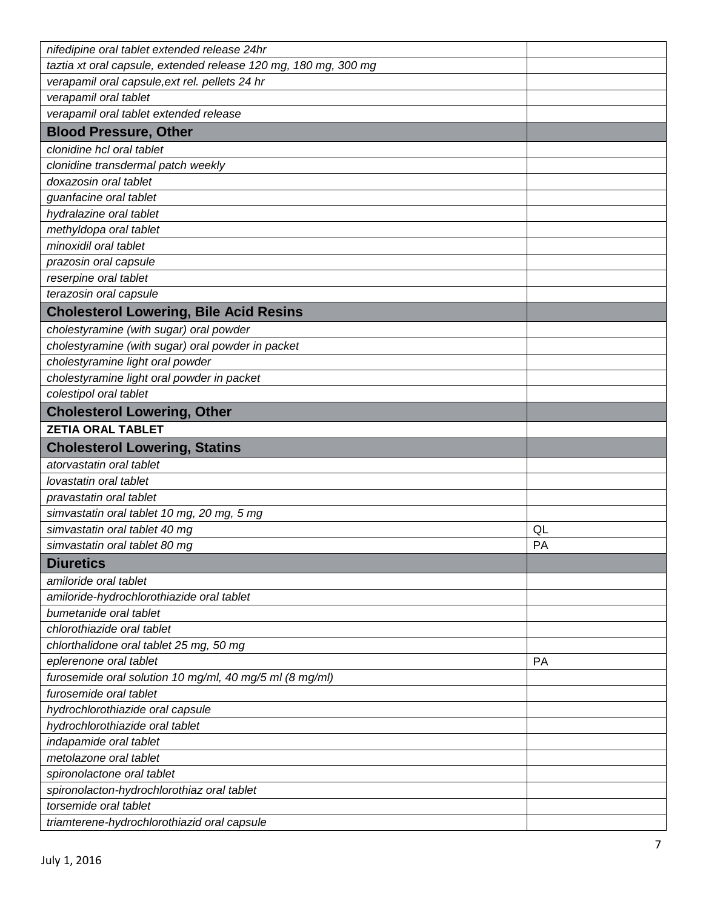| nifedipine oral tablet extended release 24hr                                      |           |
|-----------------------------------------------------------------------------------|-----------|
| taztia xt oral capsule, extended release 120 mg, 180 mg, 300 mg                   |           |
| verapamil oral capsule, ext rel. pellets 24 hr                                    |           |
| verapamil oral tablet                                                             |           |
| verapamil oral tablet extended release                                            |           |
| <b>Blood Pressure, Other</b>                                                      |           |
| clonidine hcl oral tablet                                                         |           |
| clonidine transdermal patch weekly                                                |           |
| doxazosin oral tablet                                                             |           |
| guanfacine oral tablet                                                            |           |
| hydralazine oral tablet                                                           |           |
| methyldopa oral tablet                                                            |           |
| minoxidil oral tablet                                                             |           |
| prazosin oral capsule                                                             |           |
| reserpine oral tablet                                                             |           |
| terazosin oral capsule                                                            |           |
| <b>Cholesterol Lowering, Bile Acid Resins</b>                                     |           |
| cholestyramine (with sugar) oral powder                                           |           |
| cholestyramine (with sugar) oral powder in packet                                 |           |
| cholestyramine light oral powder                                                  |           |
| cholestyramine light oral powder in packet                                        |           |
| colestipol oral tablet                                                            |           |
| <b>Cholesterol Lowering, Other</b>                                                |           |
| <b>ZETIA ORAL TABLET</b>                                                          |           |
|                                                                                   |           |
| <b>Cholesterol Lowering, Statins</b>                                              |           |
| atorvastatin oral tablet                                                          |           |
| lovastatin oral tablet                                                            |           |
| pravastatin oral tablet                                                           |           |
| simvastatin oral tablet 10 mg, 20 mg, 5 mg                                        |           |
| simvastatin oral tablet 40 mg                                                     | QL        |
| simvastatin oral tablet 80 mg                                                     | PA        |
| <b>Diuretics</b>                                                                  |           |
| amiloride oral tablet                                                             |           |
| amiloride-hydrochlorothiazide oral tablet                                         |           |
| bumetanide oral tablet                                                            |           |
| chlorothiazide oral tablet                                                        |           |
|                                                                                   |           |
| chlorthalidone oral tablet 25 mg, 50 mg                                           | <b>PA</b> |
| eplerenone oral tablet                                                            |           |
| furosemide oral solution 10 mg/ml, 40 mg/5 ml (8 mg/ml)<br>furosemide oral tablet |           |
| hydrochlorothiazide oral capsule                                                  |           |
| hydrochlorothiazide oral tablet                                                   |           |
|                                                                                   |           |
| indapamide oral tablet<br>metolazone oral tablet                                  |           |
|                                                                                   |           |
| spironolactone oral tablet                                                        |           |
| spironolacton-hydrochlorothiaz oral tablet<br>torsemide oral tablet               |           |
| triamterene-hydrochlorothiazid oral capsule                                       |           |